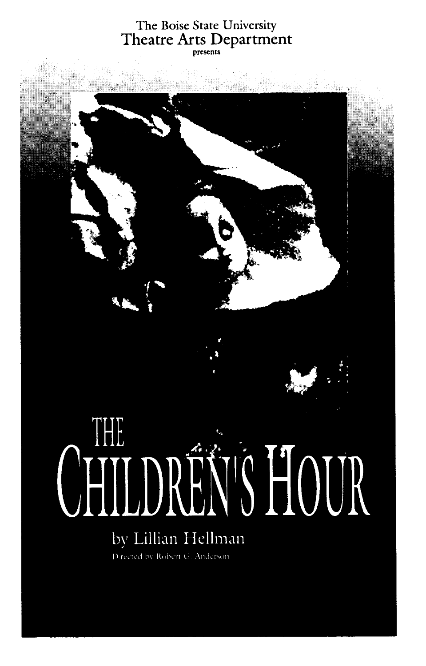## The Boise State University Theatre Arts Department

# N EN'S HOUR

### by Lillian Hellman Directed by Robert G. Anderson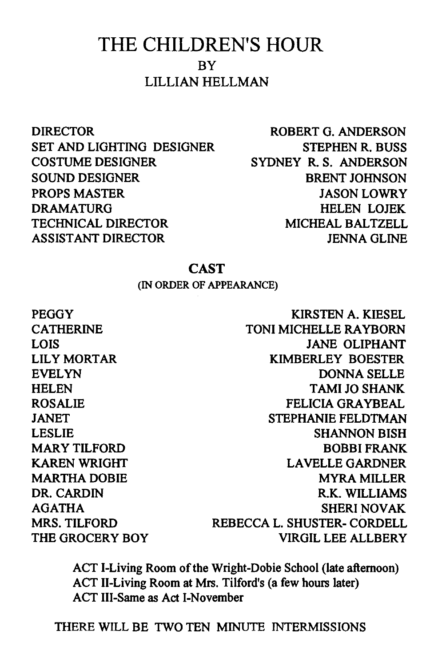## THE CHILDREN'S HOUR **BY** LILLIAN HELLMAN

DIRECTOR SET AND LIGHTING DESIGNER COSTUME DESIGNER SOUND DESIGNER PROPS MASTER DRAMATURG TECHNICAL DIRECTOR ASSISTANT DIRECTOR

ROBERT G. ANDERSON STEPHEN R. BUSS SYDNEY R. S. ANDERSON BRENT JOHNSON JASON LOWRY HELEN LOJEK MICHEAL BALTZELL **JENNA GLINE** 

#### **CAST**

(IN ORDER OF APPEARANCE)

**PEGGY CATHERINE** LOIS LILY MORTAR EVELYN HELEN ROSALIE JANET LESLIE MARY TILFORD KAREN WRIGHT MARTHA DOBIE DR. CARDIN AGATHA MRS. TILFORD THE GROCERY BOY

KIRSTEN A. KIESEL TONI MICHELLE RAYBORN JANE OLIPHANT KIMBERLEY BOESTER DONNA SELLE TAMI JO SHANK FELICIA ORA YBEAL STEPHANIE FELDTMAN SHANNON BISH **BOBBIFRANK** LAVELLE GARDNER MYRA MILLER R.K. WILLIAMS SHERI NOVAK REBECCA L. SHUSTER- CORDELL VIRGIL LEE ALLBERY

ACT 1-Living Room of the Wright-Dobie School (late afternoon) ACT 11-Living Room at Mrs. Tilford's (a few hours later) ACT III-Same as Act !-November

THERE WILL BE TWO TEN MINUTE INTERMISSIONS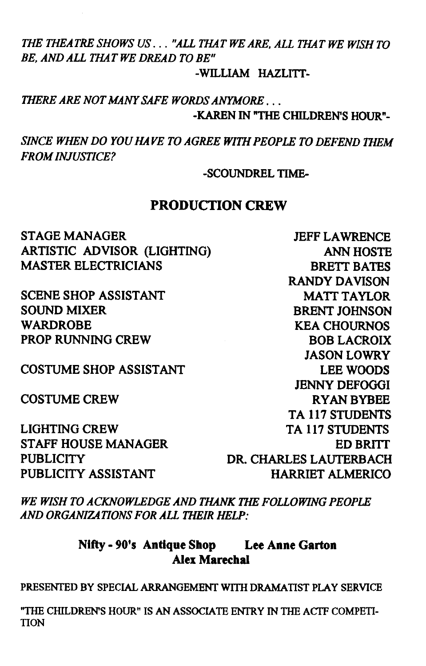*THE THEATRE SHOWS US .* .. *''ALL THAT WE ARE, ALL THAT WE WISH TO BE, AND ALL THAT WE DREAD TO BE"* 

-WILLIAM HAZLITT-

*THERE ARE NOT MANY SAFE WORDS ANYMORE .* ..

-KAREN IN "THE CHILDREN'S HOUR"-

*SINCE WHEN DO YOU HAVE TO AGREE WITH PEOPLE TO DEFEND ffiEM FROM INJUSTICE?* 

-SCOUNDREL TIME-

#### PRODUCTION CREW

STAGE MANAGER ARTISTIC ADVISOR (LIGHTING) MASTER ELECTRICIANS

SCENE SHOP ASSISTANT SOUND MIXER WARDROBE PROP RUNNING CREW

COSTUME SHOP ASSISTANT

COSTUME CREW

LIGHTING CREW STAFF HOUSE MANAGER **PUBLICITY** PUBLICITY ASSISTANT

JEFF LAWRENCE **ANN HOSTE** BRETT BATES RANDY DAVISON MATT TAYLOR BRENT JOHNSON KEA CHOURNOS BOB LACROIX JASON LOWRY LEE WOODS JENNY DEFOGGI RYAN BYBEE TA 117 STUDENTS TA 117 STUDENTS ED BRITT DR. CHARLES LAUTERBACH HARRIET ALMERICO

*WE WISH TO ACKNOWLEDGE AND THANK THE FOLLOWING PEOPLE AND ORGANIZATIONS FOR ALL THEIR HELP:* 

#### Nifty - 90's Antique Shop Lee Anne Garton Alex Marechal

PRESENTED BY SPECIAL ARRANGEMENT WITH DRAMATIST PLAY SERVICE

"THE CHILDREN'S HOUR" IS AN ASSOCIATE ENTRY IN THE ACTF COMPETI-TION